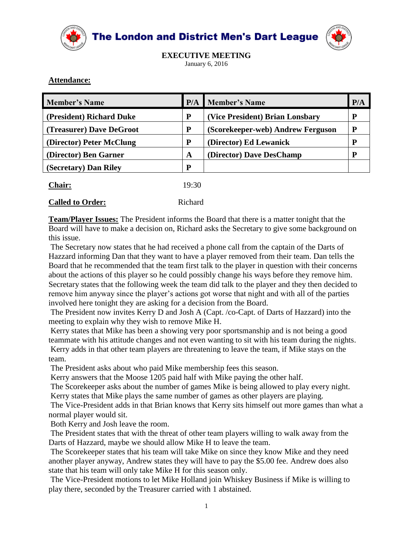

The London and District Men's Dart League



**EXECUTIVE MEETING** January 6, 2016

## **Attendance:**

| <b>Member's Name</b>     | P/A | Member's Name                     | P/A |
|--------------------------|-----|-----------------------------------|-----|
| (President) Richard Duke | P   | (Vice President) Brian Lonsbary   | p   |
| (Treasurer) Dave DeGroot | P   | (Scorekeeper-web) Andrew Ferguson |     |
| (Director) Peter McClung | P   | (Director) Ed Lewanick            |     |
| (Director) Ben Garner    | A   | (Director) Dave DesChamp          |     |
| (Secretary) Dan Riley    | D   |                                   |     |
|                          |     |                                   |     |

| <b>Chair:</b> | 19:30 |
|---------------|-------|
|               |       |

|--|--|

**Called to Order:** Richard

**Team/Player Issues:** The President informs the Board that there is a matter tonight that the Board will have to make a decision on, Richard asks the Secretary to give some background on this issue.

The Secretary now states that he had received a phone call from the captain of the Darts of Hazzard informing Dan that they want to have a player removed from their team. Dan tells the Board that he recommended that the team first talk to the player in question with their concerns about the actions of this player so he could possibly change his ways before they remove him. Secretary states that the following week the team did talk to the player and they then decided to remove him anyway since the player's actions got worse that night and with all of the parties involved here tonight they are asking for a decision from the Board.

The President now invites Kerry D and Josh A (Capt. /co-Capt. of Darts of Hazzard) into the meeting to explain why they wish to remove Mike H.

Kerry states that Mike has been a showing very poor sportsmanship and is not being a good teammate with his attitude changes and not even wanting to sit with his team during the nights. Kerry adds in that other team players are threatening to leave the team, if Mike stays on the team.

The President asks about who paid Mike membership fees this season.

Kerry answers that the Moose 1205 paid half with Mike paying the other half.

The Scorekeeper asks about the number of games Mike is being allowed to play every night. Kerry states that Mike plays the same number of games as other players are playing.

The Vice-President adds in that Brian knows that Kerry sits himself out more games than what a normal player would sit.

Both Kerry and Josh leave the room.

The President states that with the threat of other team players willing to walk away from the Darts of Hazzard, maybe we should allow Mike H to leave the team.

The Scorekeeper states that his team will take Mike on since they know Mike and they need another player anyway, Andrew states they will have to pay the \$5.00 fee. Andrew does also state that his team will only take Mike H for this season only.

The Vice-President motions to let Mike Holland join Whiskey Business if Mike is willing to play there, seconded by the Treasurer carried with 1 abstained.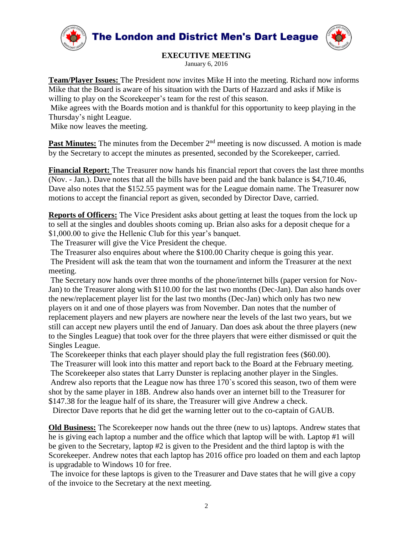

## **EXECUTIVE MEETING**

January 6, 2016

**Team/Player Issues:** The President now invites Mike H into the meeting. Richard now informs Mike that the Board is aware of his situation with the Darts of Hazzard and asks if Mike is willing to play on the Scorekeeper's team for the rest of this season.

Mike agrees with the Boards motion and is thankful for this opportunity to keep playing in the Thursday's night League.

Mike now leaves the meeting.

**Past Minutes:** The minutes from the December 2<sup>nd</sup> meeting is now discussed. A motion is made by the Secretary to accept the minutes as presented, seconded by the Scorekeeper, carried.

**Financial Report:** The Treasurer now hands his financial report that covers the last three months (Nov. - Jan.). Dave notes that all the bills have been paid and the bank balance is \$4,710.46, Dave also notes that the \$152.55 payment was for the League domain name. The Treasurer now motions to accept the financial report as given, seconded by Director Dave, carried.

**Reports of Officers:** The Vice President asks about getting at least the toques from the lock up to sell at the singles and doubles shoots coming up. Brian also asks for a deposit cheque for a \$1,000.00 to give the Hellenic Club for this year's banquet.

The Treasurer will give the Vice President the cheque.

The Treasurer also enquires about where the \$100.00 Charity cheque is going this year. The President will ask the team that won the tournament and inform the Treasurer at the next meeting.

The Secretary now hands over three months of the phone/internet bills (paper version for Nov-Jan) to the Treasurer along with \$110.00 for the last two months (Dec-Jan). Dan also hands over the new/replacement player list for the last two months (Dec-Jan) which only has two new players on it and one of those players was from November. Dan notes that the number of replacement players and new players are nowhere near the levels of the last two years, but we still can accept new players until the end of January. Dan does ask about the three players (new to the Singles League) that took over for the three players that were either dismissed or quit the Singles League.

The Scorekeeper thinks that each player should play the full registration fees (\$60.00).

The Treasurer will look into this matter and report back to the Board at the February meeting.

The Scorekeeper also states that Larry Dunster is replacing another player in the Singles. Andrew also reports that the League now has three 170`s scored this season, two of them were shot by the same player in 18B. Andrew also hands over an internet bill to the Treasurer for

\$147.38 for the league half of its share, the Treasurer will give Andrew a check.

Director Dave reports that he did get the warning letter out to the co-captain of GAUB.

**Old Business:** The Scorekeeper now hands out the three (new to us) laptops. Andrew states that he is giving each laptop a number and the office which that laptop will be with. Laptop #1 will be given to the Secretary, laptop #2 is given to the President and the third laptop is with the Scorekeeper. Andrew notes that each laptop has 2016 office pro loaded on them and each laptop is upgradable to Windows 10 for free.

The invoice for these laptops is given to the Treasurer and Dave states that he will give a copy of the invoice to the Secretary at the next meeting.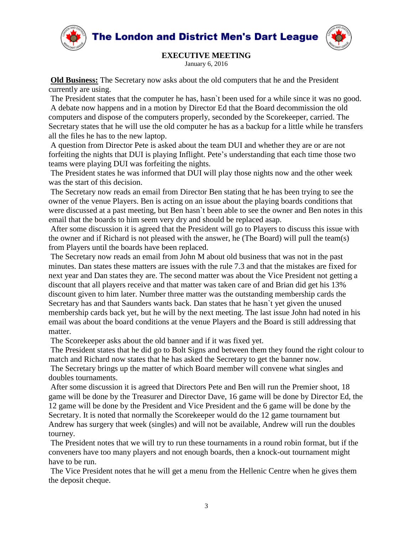The London and District Men's Dart League



## **EXECUTIVE MEETING**

January 6, 2016

**Old Business:** The Secretary now asks about the old computers that he and the President currently are using.

The President states that the computer he has, hasn`t been used for a while since it was no good. A debate now happens and in a motion by Director Ed that the Board decommission the old computers and dispose of the computers properly, seconded by the Scorekeeper, carried. The Secretary states that he will use the old computer he has as a backup for a little while he transfers all the files he has to the new laptop.

A question from Director Pete is asked about the team DUI and whether they are or are not forfeiting the nights that DUI is playing Inflight. Pete's understanding that each time those two teams were playing DUI was forfeiting the nights.

The President states he was informed that DUI will play those nights now and the other week was the start of this decision.

The Secretary now reads an email from Director Ben stating that he has been trying to see the owner of the venue Players. Ben is acting on an issue about the playing boards conditions that were discussed at a past meeting, but Ben hasn`t been able to see the owner and Ben notes in this email that the boards to him seem very dry and should be replaced asap.

After some discussion it is agreed that the President will go to Players to discuss this issue with the owner and if Richard is not pleased with the answer, he (The Board) will pull the team(s) from Players until the boards have been replaced.

The Secretary now reads an email from John M about old business that was not in the past minutes. Dan states these matters are issues with the rule 7.3 and that the mistakes are fixed for next year and Dan states they are. The second matter was about the Vice President not getting a discount that all players receive and that matter was taken care of and Brian did get his 13% discount given to him later. Number three matter was the outstanding membership cards the Secretary has and that Saunders wants back. Dan states that he hasn`t yet given the unused membership cards back yet, but he will by the next meeting. The last issue John had noted in his email was about the board conditions at the venue Players and the Board is still addressing that matter.

The Scorekeeper asks about the old banner and if it was fixed yet.

The President states that he did go to Bolt Signs and between them they found the right colour to match and Richard now states that he has asked the Secretary to get the banner now.

The Secretary brings up the matter of which Board member will convene what singles and doubles tournaments.

After some discussion it is agreed that Directors Pete and Ben will run the Premier shoot, 18 game will be done by the Treasurer and Director Dave, 16 game will be done by Director Ed, the 12 game will be done by the President and Vice President and the 6 game will be done by the Secretary. It is noted that normally the Scorekeeper would do the 12 game tournament but Andrew has surgery that week (singles) and will not be available, Andrew will run the doubles tourney.

The President notes that we will try to run these tournaments in a round robin format, but if the conveners have too many players and not enough boards, then a knock-out tournament might have to be run.

The Vice President notes that he will get a menu from the Hellenic Centre when he gives them the deposit cheque.